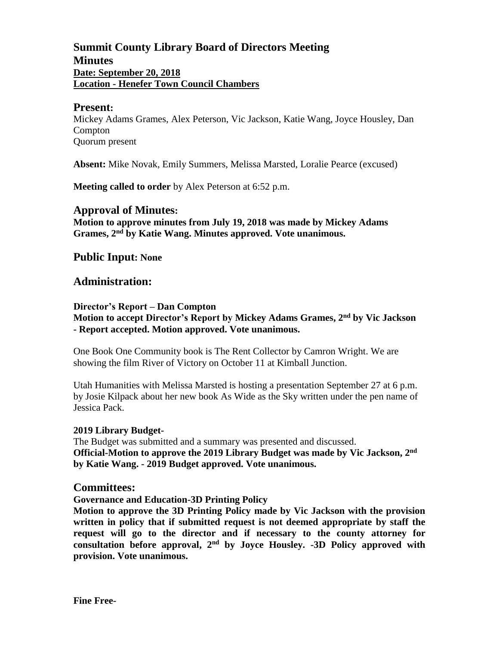# **Summit County Library Board of Directors Meeting Minutes Date: September 20, 2018 Location - Henefer Town Council Chambers**

#### **Present:**

Mickey Adams Grames, Alex Peterson, Vic Jackson, Katie Wang, Joyce Housley, Dan Compton Quorum present

**Absent:** Mike Novak, Emily Summers, Melissa Marsted, Loralie Pearce (excused)

**Meeting called to order** by Alex Peterson at 6:52 p.m.

### **Approval of Minutes:**

**Motion to approve minutes from July 19, 2018 was made by Mickey Adams Grames, 2 nd by Katie Wang. Minutes approved. Vote unanimous.**

# **Public Input: None**

# **Administration:**

#### **Director's Report – Dan Compton**

**Motion to accept Director's Report by Mickey Adams Grames, 2 nd by Vic Jackson - Report accepted. Motion approved. Vote unanimous.**

One Book One Community book is The Rent Collector by Camron Wright. We are showing the film River of Victory on October 11 at Kimball Junction.

Utah Humanities with Melissa Marsted is hosting a presentation September 27 at 6 p.m. by Josie Kilpack about her new book As Wide as the Sky written under the pen name of Jessica Pack.

#### **2019 Library Budget-**

The Budget was submitted and a summary was presented and discussed. **Official-Motion to approve the 2019 Library Budget was made by Vic Jackson, 2nd by Katie Wang. - 2019 Budget approved. Vote unanimous.**

### **Committees:**

**Governance and Education-3D Printing Policy**

**Motion to approve the 3D Printing Policy made by Vic Jackson with the provision written in policy that if submitted request is not deemed appropriate by staff the request will go to the director and if necessary to the county attorney for** consultation before approval, 2<sup>nd</sup> by Joyce Housley. -3D Policy approved with **provision. Vote unanimous.**